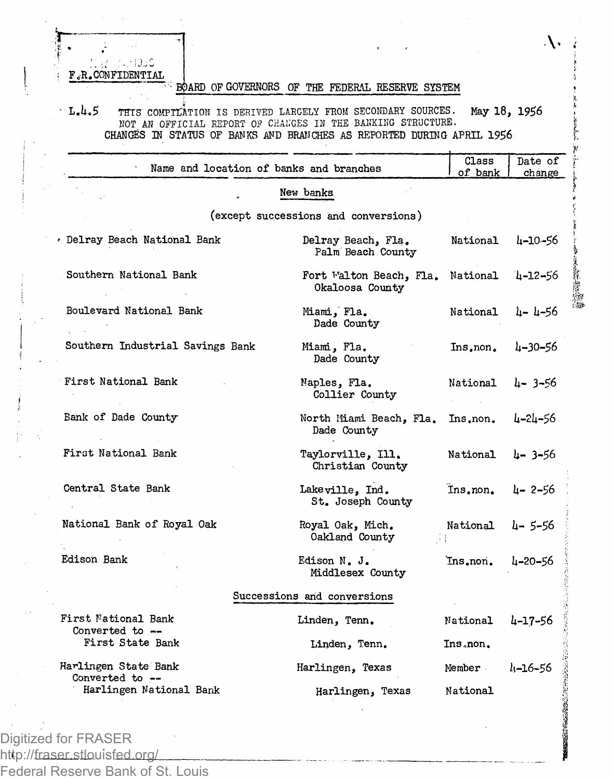EZ - 0011050 **F0R. CONFIDENTIAL**

## **:BOARD OF GOVERNORS OF THE FEDERAL RESERVE SYSTEM**

**L.1.5** THIS COMPILATION IS DERIVED LARGELY FROM SECONDARY SOURCES. May 18, 1956 NOT AN OFFICIAL REPORT OF CHANGES IN TEE BAHKI1IG STRUCTURE. **CHANGES IN STATUS OF BANKS AND BRANCHES AS REPORTED DURING APRIL 1956**

| Name and location of banks and branches                            |                                            | Class<br>of bank   | Date of<br>change |
|--------------------------------------------------------------------|--------------------------------------------|--------------------|-------------------|
|                                                                    | New banks                                  |                    |                   |
|                                                                    | (except successions and conversions)       |                    |                   |
| . Delray Beach National Bank                                       | Delray Beach, Fla.<br>Palm Beach County    | National 4-10-56   |                   |
| Southern National Bank                                             | Fort Walton Beach, Fla.<br>Okaloosa County | National           | $4 - 12 - 56$     |
| Boulevard National Bank                                            | Miami, Fla.<br>Dade County                 | National           | և– և–56           |
| Southern Industrial Savings Bank                                   | Miami, Fla.<br>Dade County                 | Ins.non.           | 4-30-56           |
| First National Bank                                                | Maples, Fla.<br>Collier County             | National           | $4 - 3 - 56$      |
| Bank of Dade County                                                | North Miami Beach, Fla.<br>Dade County     | Ins.non.           | 4-24-56           |
| First National Bank                                                | Taylorville, Ill.<br>Christian County      | National           | $4 - 3 - 56$      |
| Central State Bank                                                 | Lakeville, Ind.<br>St. Joseph County       | Ins.non.           | $4 - 2 - 56$      |
| National Bank of Royal Oak                                         | Royal Oak, Mich.<br>Oakland County         | National<br>Лŧ     | 4–5–56            |
| Edison Bank                                                        | Edison N. J.<br>Middlesex County           | Ins.non.           | 4-20-56           |
|                                                                    | Successions and conversions                |                    |                   |
| First National Bank                                                | Linden, Tenn.                              | National           | 4-17-56           |
| Converted to --<br>First State Bank                                | Linden, Tenn.                              | Ins non.           |                   |
| Harlingen State Bank<br>Converted to --<br>Harlingen National Bank | Harlingen, Texas<br>Harlingen, Texas       | Member<br>National | $l_1 - 16 - 56$   |
|                                                                    |                                            |                    |                   |

Digitized for FRASER http://fraser.stlouisfed.org/ Federal Reserve Bank of St. Louis  $\Lambda$ 

**In the Second Second** 

**The Street**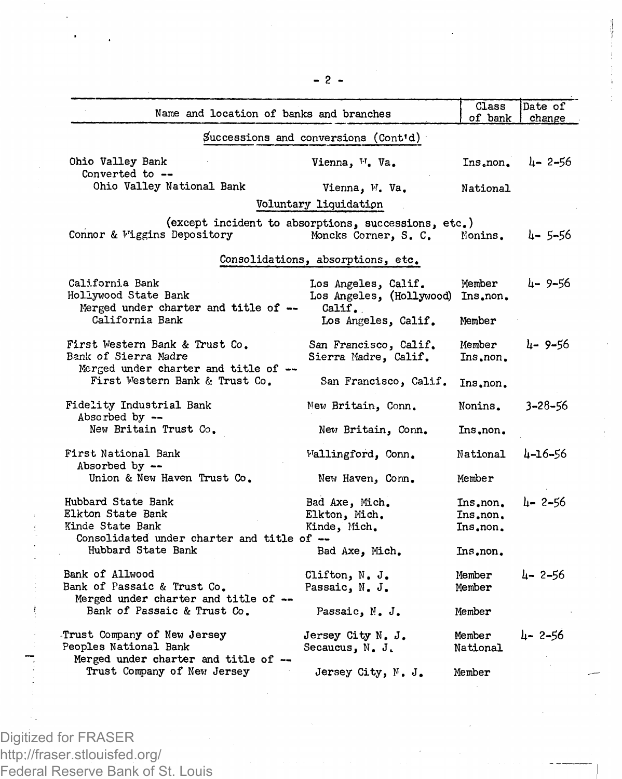| Name and location of banks and branches                                                                   |                                                                             | Class<br>of bank                 | Date of<br>change |
|-----------------------------------------------------------------------------------------------------------|-----------------------------------------------------------------------------|----------------------------------|-------------------|
|                                                                                                           | Successions and conversions (Cont'd)                                        |                                  |                   |
| Ohio Valley Bank<br>Converted to --                                                                       | Vienna, <sup>1</sup> , Va.                                                  | Ins,non,                         | $4 - 2 - 56$      |
| Ohio Valley National Bank                                                                                 | Vienna, W. Va.                                                              | National                         |                   |
|                                                                                                           | Voluntary liquidation                                                       |                                  |                   |
| Connor & Wiggins Depository                                                                               | (except incident to absorptions, successions, etc.)<br>Moncks Corner, S. C. | Nonins.                          | $4 - 5 - 56$      |
|                                                                                                           | Consolidations, absorptions, etc.                                           |                                  |                   |
| California Bank<br>Hollywood State Bank<br>Merged under charter and title of --                           | Los Angeles, Calif.<br>Los Angeles, (Hollywood) Ins.non.<br>Calif.          | Member                           | և– 9–56           |
| California Bank                                                                                           | Los Angeles, Calif.                                                         | Member                           |                   |
| First Western Bank & Trust Co.<br>Bank of Sierra Madre<br>Merged under charter and title of --            | San Francisco, Calif.<br>Sierra Madre, Calif.                               | Member<br>Ins, non,              | $4 - 9 - 56$      |
| First Western Bank & Trust Co.                                                                            | San Francisco, Calif.                                                       | Ins, non.                        |                   |
| Fidelity Industrial Bank<br>Absorbed by --                                                                | New Britain, Conn.                                                          | Nonins.                          | $3 - 28 - 56$     |
| New Britain Trust Co.                                                                                     | New Britain, Conn.                                                          | Ins.non.                         |                   |
| First National Bank<br>Absorbed by --                                                                     | Wallingford, Conn.                                                          | National                         | 4-16-56           |
| Union & New Haven Trust Co.                                                                               | New Haven, Conn.                                                            | Member                           |                   |
| Hubbard State Bank<br>Elkton State Bank<br>Kinde State Bank<br>Consolidated under charter and title of -- | Bad Axe, Mich.<br>Elkton, Mich.<br>Kinde, Mich.                             | Ins.non.<br>Ins.non.<br>Ins.non. | $4 - 2 - 56$      |
| Hubbard State Bank                                                                                        | Bad Axe, Mich.                                                              | Ins.non.                         |                   |
| Bank of Allwood<br>Bank of Passaic & Trust Co.<br>Merged under charter and title of --                    | Clifton, N. J.<br>Passaic, N. J.                                            | Member<br>Member                 | $4 - 2 - 56$      |
| Bank of Passaic & Trust Co.                                                                               | Passaic, N. J.                                                              | Member                           |                   |
| Trust Company of New Jersey<br>Peoples National Bank<br>Merged under charter and title of --              | Jersey City N. J.<br>Secaucus, N. J.                                        | Member<br>National               | 4-2-56            |
| Trust Company of New Jersey                                                                               | Jersey City, N. J.                                                          | Member                           |                   |

**— 2 —**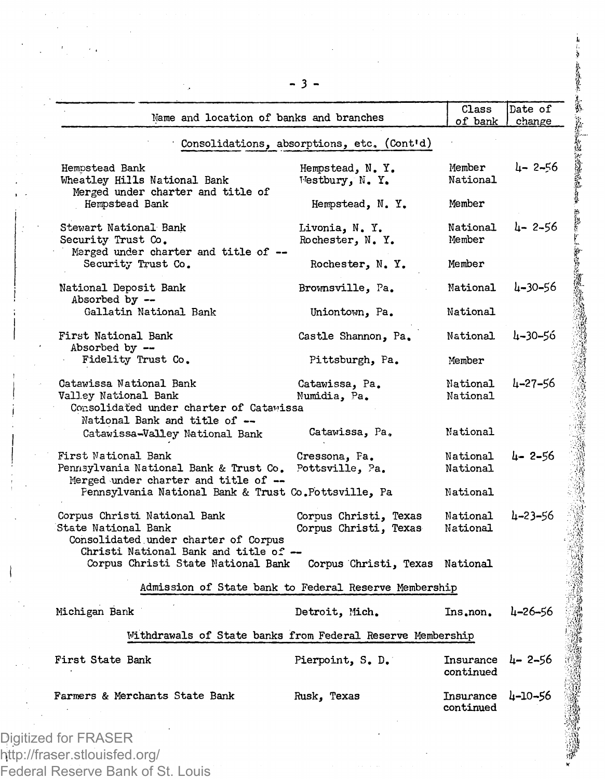| Name and location of banks and branches                                                                                     |                                                | Class<br>of bank                    | Date of<br>change |
|-----------------------------------------------------------------------------------------------------------------------------|------------------------------------------------|-------------------------------------|-------------------|
|                                                                                                                             | Consolidations, absorptions, etc. (Cont'd)     |                                     |                   |
| Hempstead Bank<br>Wheatley Hills National Bank                                                                              | Hempstead, N.Y.<br>Westbury, N. Y.             | Member<br>National                  | 4-2-56            |
| Merged under charter and title of<br>Hempstead Bank                                                                         | Hempstead, N.Y.                                | Member                              |                   |
| Stewart National Bank<br>Security Trust Co.<br>Merged under charter and title of --                                         | Livonia, N. Y.<br>Rochester, N.Y.              | National<br>Member                  | 4-2-56            |
| Security Trust Co.                                                                                                          | Rochester, N.Y.                                | Member                              |                   |
| National Deposit Bank<br>Absorbed by --                                                                                     | Brownsville, Pa.                               | National                            | $4 - 30 - 56$     |
| Gallatin National Bank                                                                                                      | Uniontown, Pa.                                 | National                            |                   |
| First National Bank<br>Absorbed by --                                                                                       | Castle Shannon, Pa.                            | National                            | 4-30-56           |
| Fidelity Trust Co.                                                                                                          | Pittsburgh, Pa.                                | Member                              |                   |
| Catawissa National Bank<br>Valley National Bank<br>Consolidated under charter of Catawissa<br>National Bank and title of -- | Catawissa, Pa.<br>Numidia, Pa.                 | National<br>National                | 4-27-56           |
| Catawissa-Valley National Bank                                                                                              | Catawissa, Pa.                                 | National                            |                   |
| First National Bank<br>Pennsylvania National Bank & Trust Co.<br>Merged under charter and title of --                       | Cressona, Fa.<br>Pottsville, Pa.               | National<br>National                | 4-2-56            |
| Pennsylvania National Bank & Trust Co.Pottsville, Pa                                                                        |                                                | National                            |                   |
| Corpus Christi National Bank<br>State National Bank<br>Consolidated under charter of Corpus                                 | Corpus Christi, Texas<br>Corpus Christi, Texas | National<br>National                | 4-23-56           |
| Christi National Bank and title of --<br>Corpus Christi State National Bank                                                 | Corpus Christi, Texas National                 |                                     |                   |
| Admission of State bank to Federal Reserve Membership                                                                       |                                                |                                     |                   |
| Michigan Bank                                                                                                               | Detroit, Mich.                                 | Ins.non.                            | 4-26-56           |
| Withdrawals of State banks from Federal Reserve Membership                                                                  |                                                |                                     |                   |
| First State Bank                                                                                                            | Pierpoint, S. D.                               | Insurance $\mu$ -2-56<br>continued  |                   |
| Farmers & Merchants State Bank                                                                                              | Rusk, Texas                                    | Insurance $\mu$ -10-56<br>continued |                   |
| ed for FRASER                                                                                                               |                                                |                                     |                   |
|                                                                                                                             |                                                |                                     |                   |

Digitized for FRASER http://fraser.stlouisfed.org/ Federal Reserve Bank of St. Louis

滯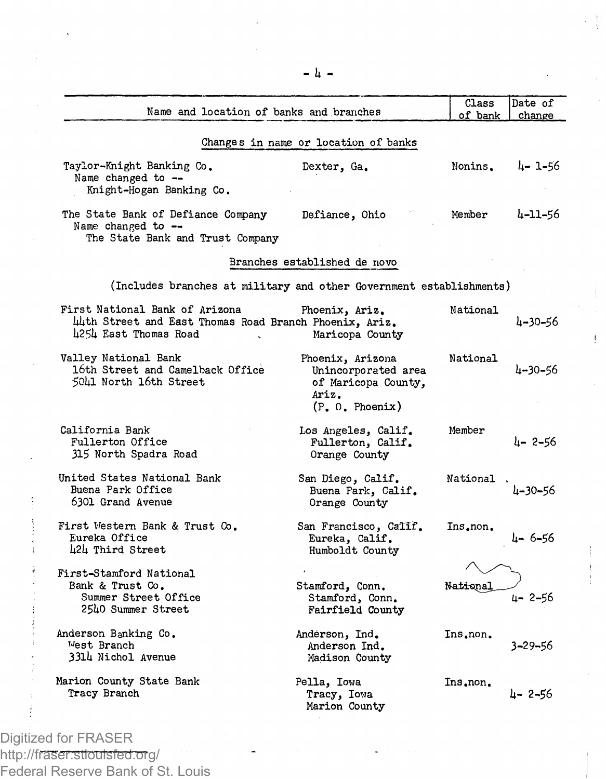| Name and location of banks and branches                                                                           |                                                                                            | Class<br>of bank | Date of<br>change |
|-------------------------------------------------------------------------------------------------------------------|--------------------------------------------------------------------------------------------|------------------|-------------------|
|                                                                                                                   | Changes in name or location of banks                                                       |                  |                   |
| Taylor-Knight Banking Co.<br>Name changed to --<br>Knight-Hogan Banking Co.                                       | Dexter, Ga.                                                                                | Nonins.          | 4-1-56            |
| The State Bank of Defiance Company<br>Name changed to --<br>The State Bank and Trust Company                      | Defiance, Ohio                                                                             | Member           | 4-11-56           |
|                                                                                                                   | Branches established de novo                                                               |                  |                   |
| (Includes branches at military and other Government establishments)                                               |                                                                                            |                  |                   |
| First National Bank of Arizona<br>44th Street and East Thomas Road Branch Phoenix, Ariz.<br>4254 East Thomas Road | Phoenix, Ariz.<br>Maricopa County                                                          | National         | 4–30–56           |
| Valley National Bank<br>16th Street and Camelback Office<br>5041 North 16th Street                                | Phoenix, Arizona<br>Unincorporated area<br>of Maricopa County.<br>Ariz.<br>(P, 0, Phoenix) | National         | 4-30-56           |
| California Bank<br>Fullerton Office<br>315 North Spadra Road                                                      | Los Angeles, Calif.<br>Fullerton, Calif.<br>Orange County                                  | Member           | 4- 2-56           |
| United States National Bank<br>Buena Park Office<br>6301 Grand Avenue                                             | San Diego, Calif.<br>Buena Park, Calif.<br>Orange County                                   | National         | 4-30-56           |
| First Western Bank & Trust Co.<br>Eureka Office<br>424 Third Street                                               | San Francisco, Calif.<br>Eureka, Calif.<br>Humboldt County                                 | Ins.non.         | 4-6-56            |
| First-Stamford National<br>Bank & Trust Co.<br>Summer Street Office<br>2540 Summer Street                         | Stamford, Conn.<br>Stamford, Conn.<br>Fairfield County                                     | National         | 4- 2-56           |
| Anderson Banking Co.<br>West Branch<br>3314 Nichol Avenue                                                         | Anderson, Ind.<br>Anderson Ind.<br>Madison County                                          | Ins.non.         | 3-29-56           |
| Marion County State Bank<br>Tracy Branch                                                                          | Pella, Iowa<br>Tracy, Iowa<br>Marion County                                                | Ins.non.         | $\mu - 2 - 56$    |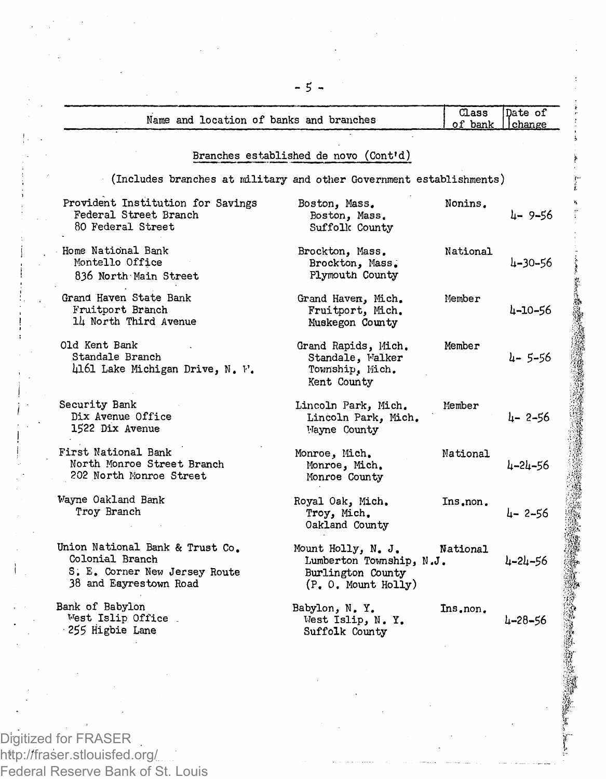| Name and location of banks and branches                                                                       |                                                                                           | Class<br>of bank | Date of<br>change |
|---------------------------------------------------------------------------------------------------------------|-------------------------------------------------------------------------------------------|------------------|-------------------|
| Branches established de novo (Cont'd)                                                                         |                                                                                           |                  |                   |
| (Includes branches at military and other Government establishments)                                           |                                                                                           |                  |                   |
| Provident Institution for Savings<br>Federal Street Branch<br>80 Federal Street                               | Boston, Mass.<br>Boston, Mass.<br>Suffolk County                                          | Nonins.          | 4-9-56            |
| Home National Bank<br>Montello Office<br>836 North Main Street                                                | Brockton, Mass.<br>Brockton, Mass.<br>Plymouth County                                     | National         | 4-30-56           |
| Grand Haven State Bank<br>Fruitport Branch<br>14 North Third Avenue                                           | Grand Haven, Mich.<br>Fruitport, Mich.<br>Muskegon County                                 | Member           | 4-10-56           |
| Old Kent Bank<br>Standale Branch<br>4161 Lake Michigan Drive, N. F.                                           | Grand Rapids, Mich.<br>Standale, Walker<br>Township, Mich.<br>Kent County                 | Member           | $4 - 5 - 56$      |
| Security Bank<br>Dix Avenue Office<br>1522 Dix Avenue                                                         | Lincoln Park, Mich.<br>Lincoln Park, Mich.<br>Mayne County                                | Member           | $4 - 2 - 56$      |
| First National Bank<br>North Monroe Street Branch<br>202 North Monroe Street                                  | Monroe, Mich.<br>Monroe, Mich.<br>Monroe County                                           | National         | 4-24-56           |
| Wayne Oakland Bank<br>Troy Branch                                                                             | Royal Oak, Mich.<br>Troy, Mich.<br>Oakland County                                         | Ins.non.         | $L - 2 - 56$      |
| Union National Bank & Trust Co.<br>Colonial Branch<br>S. E. Corner New Jersey Route<br>38 and Eayrestown Road | Mount Holly, N. J.<br>Lumberton Township. N.J.<br>Burlington County<br>(P. 0. Mount Holy) | National         | 4-24-56           |
| Bank of Babylon<br>West Islip Office<br>255 Higbie Lane                                                       | Babylon, N.Y.<br>West Islip, N. Y.<br>Suffolk County                                      | Ins.non.         | $4 - 28 - 56$     |

2010年10月

Digitized for FRASER http://fraser.stlouisfed.org/ Federal Reserve Bank of St. Louis - 5 -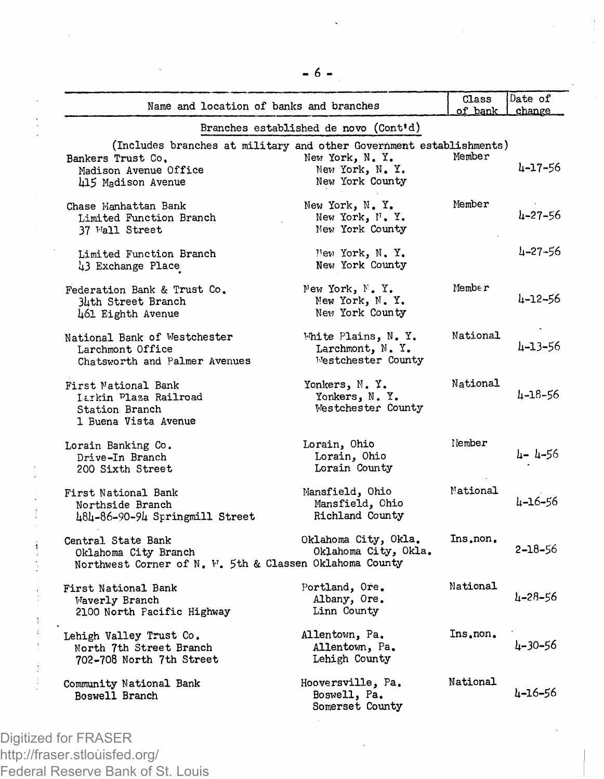| Name and location of banks and branches                                                                                                 |                                                              | Class<br>of bank | Date of<br>change |
|-----------------------------------------------------------------------------------------------------------------------------------------|--------------------------------------------------------------|------------------|-------------------|
|                                                                                                                                         | Branches established de novo (Cont'd)                        |                  |                   |
| (Includes branches at military and other Government establishments)<br>Bankers Trust Co.<br>Madison Avenue Office<br>415 Madison Avenue | New York, N.Y.<br>New York, N. Y.<br>New York County         | Member           | 4-17-56           |
| Chase Manhattan Bank<br>Limited Function Branch<br>37 Wall Street                                                                       | New York, N.Y.<br>New York, N.Y.<br>New York County          | Member           | $4 - 27 - 56$     |
| Limited Function Branch<br>43 Exchange Place                                                                                            | New York, N. Y.<br>New York County                           |                  | 4–27–56           |
| Federation Bank & Trust Co.<br>34th Street Branch<br>461 Eighth Avenue                                                                  | New York, N.Y.<br>New York, N. Y.<br>New York County         | Member           | 4-12-56           |
| National Bank of Westchester<br>Larchmont Office<br>Chatsworth and Palmer Avenues                                                       | White Plains, N. Y.<br>Larchmont, N.Y.<br>Westchester County | National         | 4-13-56           |
| First National Bank<br>Larkin Plaza Railroad<br>Station Branch<br>1 Buena Vista Avenue                                                  | Yonkers, N.Y.<br>Yonkers, N.Y.<br>Westchester County         | National         | 4-18-56           |
| Lorain Banking Co.<br>Drive-In Branch<br>200 Sixth Street                                                                               | Lorain, Ohio<br>Lorain, Ohio<br>Lorain County                | Nember           | 4- 4-56           |
| First National Bank<br>Northside Branch<br>484-86-90-94 Springmill Street                                                               | Mansfield, Ohio<br>Mansfield, Chio<br>Richland County        | Mational         | 4-16-56           |
| Central State Bank<br>Oklahoma City Branch<br>Northwest Corner of N. W. 5th & Classen Oklahoma County                                   | Oklahoma City, Okla.<br>Oklahoma City, Okla.                 | Ins.non.         | 2-18-56           |
| First National Bank<br>Waverly Branch<br>2100 North Pacific Highway                                                                     | Portland, Ore.<br>Albany, Ore.<br>Linn County                | National         | 4-28-56           |
| Lehigh Valley Trust Co.<br>North 7th Street Branch<br>702-708 North 7th Street                                                          | Allentown, Pa.<br>Allentown, Pa.<br>Lehigh County            | Ins.non.         | $4 - 30 - 56$     |
| Community National Bank<br>Boswell Branch                                                                                               | Hooversville, Pa.<br>Boswell, Pa.<br>Somerset County         | National         | 4-16-56           |
|                                                                                                                                         |                                                              |                  |                   |

**- 6 -**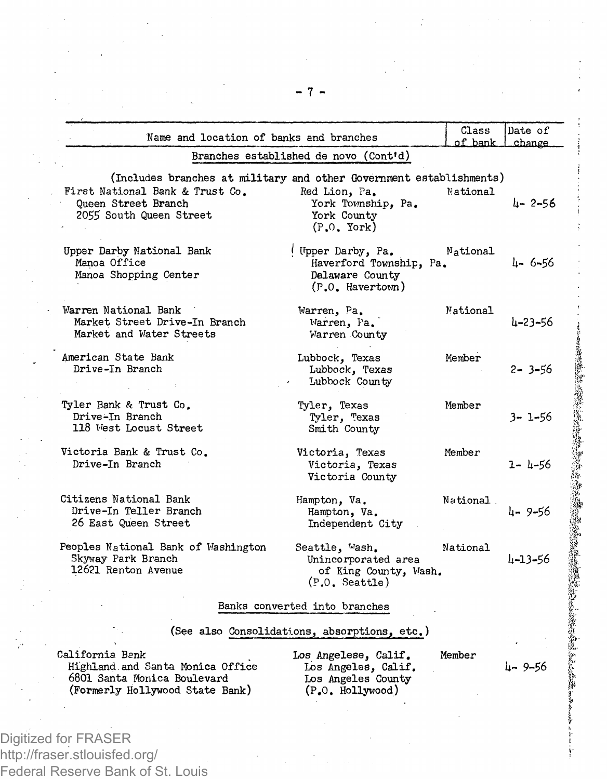| Name and location of banks and branches                                                                                                                  |                                                                                       | Class<br>of bank | Date of<br>change |
|----------------------------------------------------------------------------------------------------------------------------------------------------------|---------------------------------------------------------------------------------------|------------------|-------------------|
|                                                                                                                                                          | Branches established de novo (Cont'd)                                                 |                  |                   |
| (Includes branches at military and other Government establishments)<br>First National Bank & Trust Co.<br>Oueen Street Branch<br>2055 South Queen Street | Red Lion, Pa.<br>York Township, Pa.<br>York County<br>$(P.0. \text{York})$            | National         | $L - 2 - 56$      |
| Upper Darby National Bank<br>Manoa Office<br>Manoa Shopping Center                                                                                       | (Upper Darby, Pa.<br>Haverford Township, Pa.<br>Dalaware County<br>$(P.0.$ Havertown) | National         | 4-6-56            |
| Warren National Bank<br>Market Street Drive-In Branch<br>Market and Water Streets                                                                        | Warren, Pa.<br>Warren, Pa.<br>Warren County                                           | National         | 4-23-56           |
| American State Bank<br>Drive-In Branch                                                                                                                   | Lubbock, Texas<br>Lubbock, Texas<br>Lubbock County                                    | Member           | $2 - 3 - 56$      |
| Tyler Bank & Trust Co.<br>Drive-In Branch<br>118 West Locust Street                                                                                      | Tyler, Texas<br>Tyler, Texas<br>Smith County                                          | Member           | $3 - 1 - 56$      |
| Victoria Bank & Trust Co.<br>Drive-In Branch                                                                                                             | Victoria, Texas<br>Victoria, Texas<br>Victoria County                                 | Member           | $1 - 4 - 56$      |
| Citizens National Bank<br>Drive-In Teller Branch<br>26 East Queen Street                                                                                 | Hampton, Va.<br>Hampton, Va.<br>Independent City                                      | National         | 4-9-56            |
| Peoples National Bank of Washington<br>Skyway Park Branch<br>12621 Renton Avenue                                                                         | Seattle, Wash.<br>Unincorporated area<br>of King County, Wash.<br>(P.0. Seattle)      | National         | 4-13-56           |
|                                                                                                                                                          | Banks converted into branches                                                         |                  |                   |
|                                                                                                                                                          | (See also Consolidations, absorptions, etc.)                                          |                  |                   |
| California Bank<br>Highland and Santa Monica Office<br>6801 Santa Monica Boulevard<br>(Formerly Hollywood State Bank)                                    | Los Angelese, Calif.<br>Los Angeles, Calif.<br>Los Angeles County<br>(P.O. Hollywood) | Member           | $4 - 9 - 56$      |
|                                                                                                                                                          |                                                                                       |                  |                   |
|                                                                                                                                                          |                                                                                       |                  |                   |

ŷ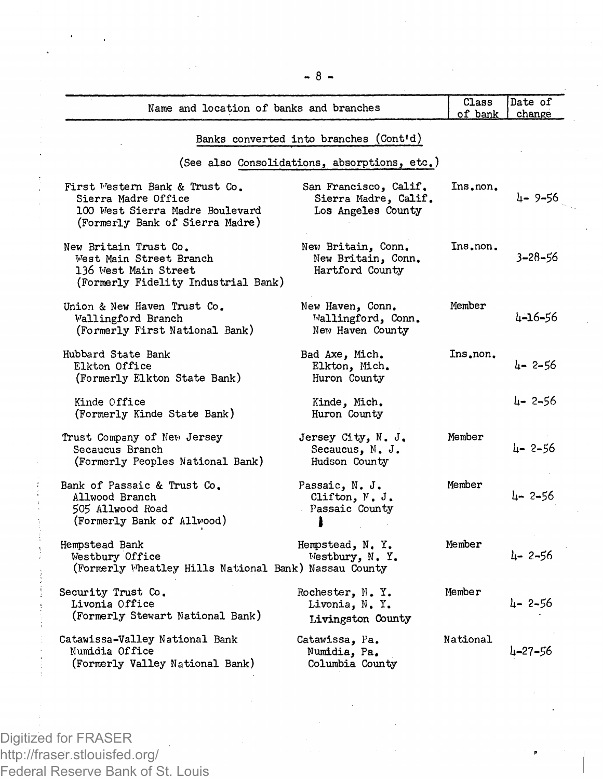| Name and location of banks and branches                                                                                     |                                                                     | Class<br>of bank | Date of<br>change |
|-----------------------------------------------------------------------------------------------------------------------------|---------------------------------------------------------------------|------------------|-------------------|
|                                                                                                                             | Banks converted into branches (Cont'd)                              |                  |                   |
|                                                                                                                             | (See also Consolidations, absorptions, etc.)                        |                  |                   |
| First Vestern Bank & Trust Co.<br>Sierra Madre Office<br>100 West Sierra Madre Boulevard<br>(Formerly Bank of Sierra Madre) | San Francisco, Calif.<br>Sierra Madre, Calif.<br>Los Angeles County | Ins.non.         | $4 - 9 - 56$      |
| New Britain Trust Co.<br>West Main Street Branch<br>136 West Main Street<br>(Formerly Fidelity Industrial Bank)             | New Britain, Conn.<br>New Britain, Conn.<br>Hartford County         | Ins.non.         | $3 - 28 - 56$     |
| Union & New Haven Trust Co.<br>Wallingford Branch<br>(Formerly First National Bank)                                         | New Haven, Conn.<br>Wallingford, Conn.<br>New Haven County          | Member           | 4-16-56           |
| Hubbard State Bank<br>Elkton Office<br>(Formerly Elkton State Bank)                                                         | Bad Axe, Mich.<br>Elkton, Mich.<br>Huron County                     | Ins.non.         | $4 - 2 - 56$      |
| Kinde Office<br>(Formerly Kinde State Bank)                                                                                 | Kinde, Mich.<br>Huron County                                        |                  | $4 - 2 - 56$      |
| Trust Company of New Jersey<br>Secaucus Branch<br>(Formerly Peoples National Bank)                                          | Jersey City, N. J.<br>Secaucus, N. J.<br>Hudson County              | Member           | 4-2-56            |
| Bank of Passaic & Trust Co.<br>Allwood Branch<br>505 Allwood Road<br>(Formerly Bank of Allwood)                             | Passaic, N. J.<br>Clifton, N. J.<br>Passaic County                  | Member           | $l - 2 - 56$      |
| Hempstead Bank<br>Westbury Office<br>(Formerly Wheatley Hills National Bank) Nassau County                                  | Hempstead, N.Y.<br>Westbury, N. Y.                                  | Member           | $4 - 2 - 56$      |
| Security Trust Co.<br>Livonia Office<br>(Formerly Stewart National Bank)                                                    | Rochester, N.Y.<br>Livonia, N. Y.<br>Livingston County              | Member           | $4 - 2 - 56$      |
| Catawissa-Valley National Bank<br>Numidia Office<br>(Formerly Valley National Bank)                                         | Catawissa, Pa.<br>Numidia, Pa.<br>Columbia County                   | National         | 4-27-56           |

- 8 -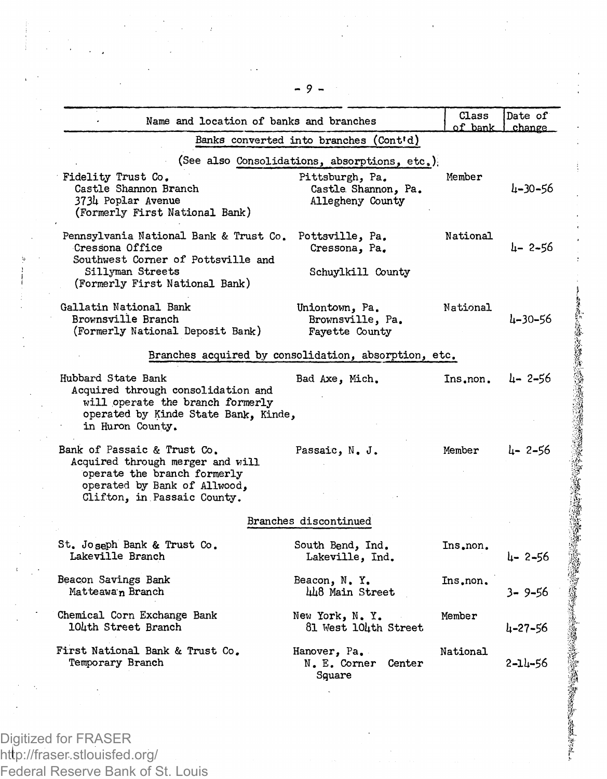| Name and location of banks and branches                                                                                                                       |                                                            | Class<br>of bank | Date of<br>change. |
|---------------------------------------------------------------------------------------------------------------------------------------------------------------|------------------------------------------------------------|------------------|--------------------|
|                                                                                                                                                               | Banks converted into branches (Cont'd)                     |                  |                    |
|                                                                                                                                                               | (See also Consolidations, absorptions, etc.)               |                  |                    |
| Fidelity Trust Co.<br>Castle Shannon Branch<br>3734 Poplar Avenue<br>(Formerly First National Bank)                                                           | Pittsburgh, Pa.<br>Castle Shannon, Pa.<br>Allegheny County | Member           | 4-30-56            |
| Pennsylvania National Bank & Trust Co.<br>Cressona Office<br>Southwest Corner of Pottsville and<br>Sillyman Streets<br>(Formerly First National Bank)         | Pottsville, Pa.<br>Cressona, Pa.<br>Schuylkill County      | National         | 4-2-56             |
| Gallatin National Bank<br>Brownsville Branch<br>(Formerly National Deposit Bank)                                                                              | Uniontown, Pa.<br>Brownsville, Pa.<br>Fayette County       | National         | 4-30-56            |
|                                                                                                                                                               | Branches acquired by consolidation, absorption, etc.       |                  |                    |
| Hubbard State Bank<br>Acquired through consolidation and<br>will operate the branch formerly<br>operated by Kinde State Bank. Kinde,<br>in Huron County.      | Bad Axe, Mich.                                             | Ins.non.         | 4-2-56             |
| Bank of Passaic & Trust Co.<br>Acquired through merger and will<br>operate the branch formerly<br>operated by Bank of Allwood,<br>Clifton, in Passaic County. | Passaic, N. J.                                             | Member           | 4-2-56             |
|                                                                                                                                                               | Branches discontinued                                      |                  |                    |
| St. Joseph Bank & Trust Co.<br>Lakeville Branch                                                                                                               | South Bend, Ind.<br>Lakeville, Ind.                        | Ins.non.         | $4 - 2 - 56$       |
| Beacon Savings Bank<br>Matteawan Branch                                                                                                                       | Beacon, N.Y.<br>hh8 Main Street                            | Ins.non.         | 3-9-56             |
| Chemical Corn Exchange Bank<br>104th Street Branch                                                                                                            | New York, N.Y.<br>81 West 104th Street                     | Member           | $4 - 27 - 56$      |
| First National Bank & Trust Co.<br>Temporary Branch                                                                                                           | Hanover, Pa.<br>N. E. Corner Center<br>Square              | National         | $2 - 11 - 56$      |
|                                                                                                                                                               |                                                            |                  |                    |

**多大的医学院的选择的选择的选择的选择的选择。如果我们的选择的选择。**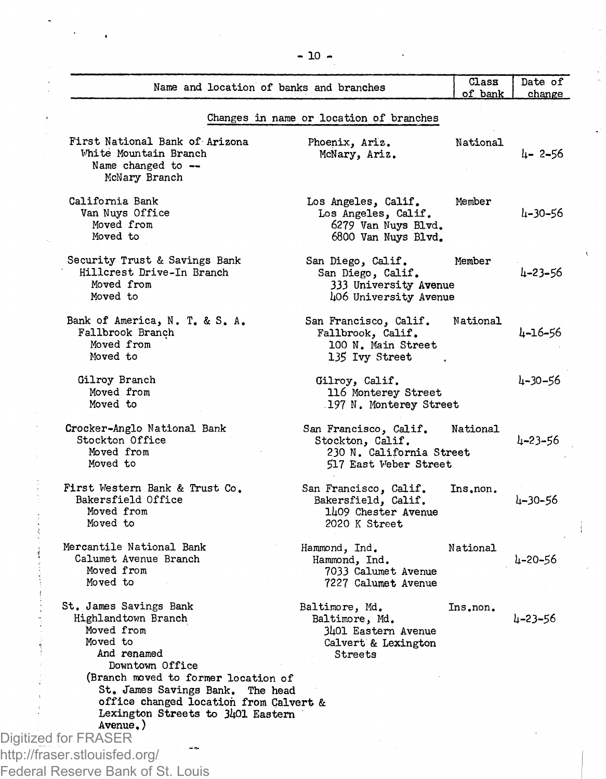| Name and location of banks and branches                                                                                                                                                     |                                                                                                 | Class<br>of bank | Date of<br>change |
|---------------------------------------------------------------------------------------------------------------------------------------------------------------------------------------------|-------------------------------------------------------------------------------------------------|------------------|-------------------|
|                                                                                                                                                                                             | Changes in name or location of branches                                                         |                  |                   |
| First National Bank of Arizona<br>White Mountain Branch<br>Name changed to --<br>McNary Branch                                                                                              | Phoenix, Ariz.<br>McNary, Ariz.                                                                 | National         | 4- 2-56           |
| California Bank<br>Van Nuvs Office<br>Moved from<br>Moved to                                                                                                                                | Los Angeles, Calif.<br>Los Angeles, Calif.<br>6279 Van Nuys Blvd.<br>6800 Van Nuys Blvd.        | Member           | 4-30-56           |
| Security Trust & Savings Bank<br>Hillcrest Drive-In Branch<br>Moved from<br>Moved to                                                                                                        | San Diego, Calif.<br>San Diego, Calif.<br><b>333 University Avenue</b><br>406 University Avenue | Member           | 4-23-56           |
| Bank of America, N. T. & S. A.<br>Fallbrook Branch<br>Moved from<br>Moved to                                                                                                                | San Francisco, Calif.<br>Fallbrook, Calif.<br>100 N. Main Street<br>135 Ivy Street              | National         | 4-16-56           |
| Gilroy Branch<br>Moved from<br>Moved to                                                                                                                                                     | Gilroy, Calif.<br>116 Monterey Street<br>197 N. Monterey Street                                 |                  | 4-30-56           |
| Crocker-Anglo National Bank<br>Stockton Office<br>Moved from<br>Moved to                                                                                                                    | San Francisco, Calif.<br>Stockton, Calif.<br>230 N. California Street<br>517 East Weber Street  | National         | 4-23-56           |
| First Western Bank & Trust Co.<br>Bakersfield Office<br>Moved from<br>Moved to                                                                                                              | San Francisco, Calif.<br>Bakersfield, Calif.<br>1409 Chester Avenue<br>2020 K Street            | Ins.non.         | 4-30-56           |
| Mercantile National Bank<br>Calumet Avenue Branch<br>Moved from<br>Moved to                                                                                                                 | Hammond, Ind.<br>Hammond, Ind.<br>7033 Calumet Avenue<br>7227 Calumet Avenue                    | National         | 4-20-56           |
| St. James Savings Bank<br>Highlandtown Branch<br>Moved from<br>Moved to<br>And renamed<br>Downtown Office                                                                                   | Baltimore, Md.<br>Baltimore, Md.<br>3401 Eastern Avenue<br>Calvert & Lexington<br>Streets       | Ins.non.         | 4-23-56           |
| (Branch moved to former location of<br>St. James Savings Bank. The head<br>office changed location from Calvert &<br>Lexington Streets to 3401 Eastern<br>Avenue, )<br>Digitized for FRASER |                                                                                                 |                  |                   |
| http://fraser.stlouisfed.org/                                                                                                                                                               |                                                                                                 |                  |                   |
| Federal Reserve Bank of St. Louis                                                                                                                                                           |                                                                                                 |                  |                   |

**-10 -**

ï